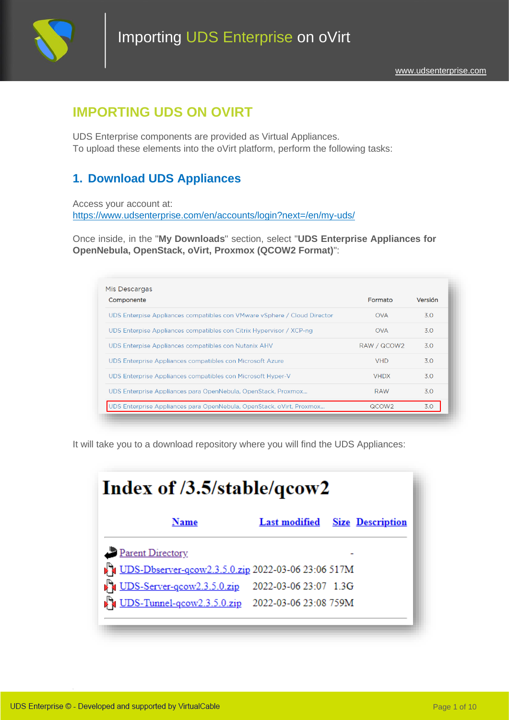

# **IMPORTING UDS ON OVIRT**

UDS Enterprise components are provided as Virtual Appliances. To upload these elements into the oVirt platform, perform the following tasks:

## **1. Download UDS Appliances**

Access your account at: <https://www.udsenterprise.com/en/accounts/login?next=/en/my-uds/>

Once inside, in the "**My Downloads**" section, select "**UDS Enterprise Appliances for OpenNebula, OpenStack, oVirt, Proxmox (QCOW2 Format)**":

| Componente                                                               | Formato           | Versión |
|--------------------------------------------------------------------------|-------------------|---------|
| UDS Enterpise Appliances compatibles con VMware vSphere / Cloud Director | <b>OVA</b>        | 3.0     |
| UDS Enterpise Appliances compatibles con Citrix Hypervisor / XCP-ng      | <b>OVA</b>        | 3.0     |
| UDS Enterpise Appliances compatibles con Nutanix AHV                     | RAW / QCOW2       | 3.O     |
| UDS Enterprise Appliances compatibles con Microsoft Azure                | <b>VHD</b>        | 3.O     |
| UDS Enterprise Appliances compatibles con Microsoft Hyper-V              | <b>VHDX</b>       | 3.O     |
| UDS Enterprise Appliances para OpenNebula, OpenStack, Proxmox            | RAW               | 3.0     |
| UDS Enterprise Appliances para OpenNebula, OpenStack, oVirt, Proxmox     | QCOW <sub>2</sub> | 3.0     |

It will take you to a download repository where you will find the UDS Appliances:

| Index of /3.5/stable/qcow2                              |                                       |
|---------------------------------------------------------|---------------------------------------|
| Name                                                    | <b>Last modified</b> Size Description |
| Parent Directory                                        |                                       |
| UDS-Dbserver-qcow2.3.5.0.zip 2022-03-06 23:06 517M      |                                       |
| 1.3G UDS-Server-qcow2.3.5.0.zip 2022-03-06 23:07 1.3G   |                                       |
| <b>DES-Tunnel-gcow2.3.5.0.zip</b> 2022-03-06 23:08 759M |                                       |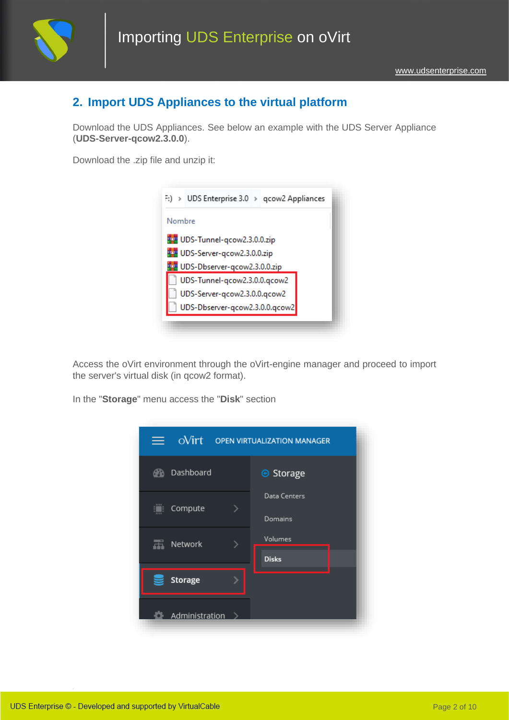

## **2. Import UDS Appliances to the virtual platform**

Download the UDS Appliances. See below an example with the UDS Server Appliance (**UDS-Server-qcow2.3.0.0**).

Download the .zip file and unzip it:



Access the oVirt environment through the oVirt-engine manager and proceed to import the server's virtual disk (in qcow2 format).

In the "**Storage**" menu access the "**Disk**" section

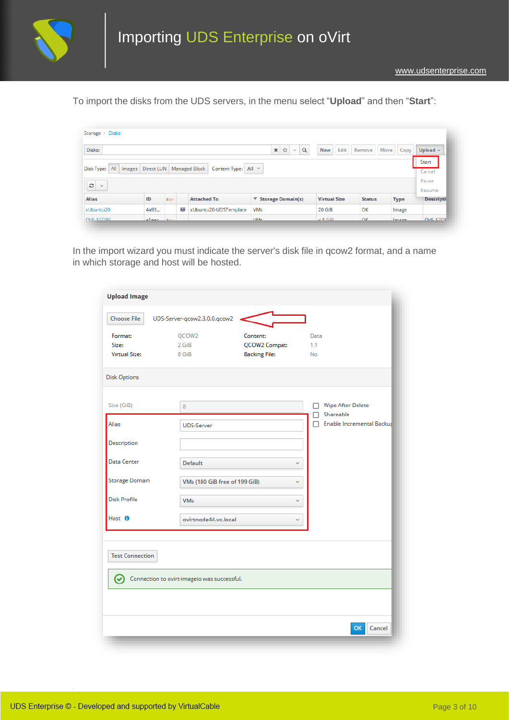

To import the disks from the UDS servers, in the menu select "**Upload**" and then "**Start**":

| Disks:                             |                            |             |   |                       | $\mathsf Q$<br>☆<br>$\pmb{\times}$<br>$\mathcal{L}$ | Edit<br><b>New</b>  | Remove        | Move<br>Copy | Upload $\sim$     |
|------------------------------------|----------------------------|-------------|---|-----------------------|-----------------------------------------------------|---------------------|---------------|--------------|-------------------|
|                                    |                            |             |   |                       |                                                     |                     |               |              | Start             |
| All<br>Disk Type:<br><i>Images</i> | Direct LUN   Managed Block |             |   | Content Type: All Y   |                                                     |                     |               |              | Cancel            |
| O<br>$\checkmark$                  |                            |             |   |                       |                                                     |                     |               |              | Pause             |
|                                    |                            |             |   |                       |                                                     |                     |               |              | Resume            |
|                                    |                            |             |   |                       |                                                     |                     |               |              |                   |
|                                    | ID                         | <b>Post</b> |   | <b>Attached To</b>    | $\blacktriangledown$ Storage Domain(s)              | <b>Virtual Size</b> | <b>Status</b> | <b>Type</b>  | <b>Descriptio</b> |
| <b>Alias</b><br>xUbuntu20          | 4a93                       |             | ņ | xUbuntu20-UDSTemplate | <b>VM<sub>s</sub></b>                               | $20$ GiB            | OK            | Image        |                   |

In the import wizard you must indicate the server's disk file in qcow2 format, and a name in which storage and host will be hosted.

| <b>Upload Image</b>                      |                                             |                                                   |                                                                    |
|------------------------------------------|---------------------------------------------|---------------------------------------------------|--------------------------------------------------------------------|
| <b>Choose File</b>                       | UDS-Server-qcow2.3.0.0.qcow2                |                                                   |                                                                    |
| Format:<br>Size:<br><b>Virtual Size:</b> | QCOW2<br>2 GiB<br>8 GiB                     | Content:<br>QCOW2 Compat:<br><b>Backing File:</b> | Data<br>1.1<br><b>No</b>                                           |
| <b>Disk Options</b>                      |                                             |                                                   |                                                                    |
| Size (GiB)<br><b>Alias</b>               | 8<br><b>UDS-Server</b>                      |                                                   | <b>Wipe After Delete</b><br>Shareable<br>Enable Incremental Backup |
| Description                              |                                             |                                                   |                                                                    |
| Data Center                              | <b>Default</b>                              | v                                                 |                                                                    |
| <b>Storage Domain</b>                    | VMs (180 GiB free of 199 GiB)               | v                                                 |                                                                    |
| <b>Disk Profile</b>                      | <b>VMs</b>                                  | v                                                 |                                                                    |
| Host <sup>O</sup>                        | ovirtnode44.vc.local                        | v                                                 |                                                                    |
| <b>Test Connection</b><br>$\bm{\omega}$  | Connection to ovirt-imageio was successful. |                                                   |                                                                    |
|                                          |                                             |                                                   | OK<br>Cancel                                                       |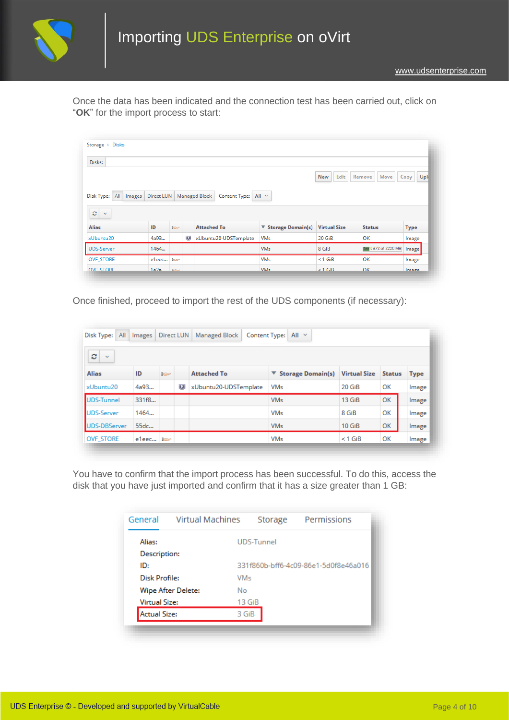

Once the data has been indicated and the connection test has been carried out, click on "**OK**" for the import process to start:

| Disks:                         |            |                |   |                                       |                       |                     |                            |              |
|--------------------------------|------------|----------------|---|---------------------------------------|-----------------------|---------------------|----------------------------|--------------|
|                                |            |                |   |                                       |                       | Edit<br><b>New</b>  | Remove<br>Move             | Uple<br>Copy |
| All Images<br>Disk Type:       | Direct LUN |                |   | <b>Managed Block</b><br>Content Type: | All $\vee$            |                     |                            |              |
| ø<br>$\checkmark$              |            |                |   |                                       |                       |                     |                            |              |
| <b>Alias</b>                   | ID         | <b>Basic</b>   |   | <b>Attached To</b>                    | ▼ Storage Domain(s)   | <b>Virtual Size</b> | <b>Status</b>              | <b>Type</b>  |
|                                | 4a93       |                | p | xUbuntu20-UDSTemplate                 | <b>VM<sub>s</sub></b> | 20 GiB              | OK                         | Image        |
| xUbuntu20<br><b>UDS-Server</b> | 1464       |                |   |                                       | <b>VM<sub>s</sub></b> | 8 GiB               | <b>Sent 372 of 2220 MB</b> | Image        |
| <b>OVF STORE</b>               | e1eec      | <b>College</b> |   |                                       | <b>VMs</b>            | $< 1$ GiB           | OK                         | Image        |

Once finished, proceed to import the rest of the UDS components (if necessary):

| ø<br>$\sim$       |       |             |   |                       |                                        |                     |               |       |
|-------------------|-------|-------------|---|-----------------------|----------------------------------------|---------------------|---------------|-------|
| <b>Alias</b>      | ID    | <b>Page</b> |   | <b>Attached To</b>    | $\blacktriangledown$ Storage Domain(s) | <b>Virtual Size</b> | <b>Status</b> | Type  |
| xUbuntu20         | 4a93  |             | ņ | xUbuntu20-UDSTemplate | <b>VM<sub>s</sub></b>                  | 20 GiB              | OK            | Image |
| <b>UDS-Tunnel</b> | 331f8 |             |   |                       | <b>VM<sub>s</sub></b>                  | 13 GiB              | OK            | Image |
| <b>UDS-Server</b> | 1464  |             |   |                       | <b>VMs</b>                             | 8 GiB               | OK            | Image |
| UDS-DBServer      | 55dc  |             |   |                       | <b>VM<sub>s</sub></b>                  | $10$ GiB            | OK            | Image |
| <b>OVF STORE</b>  | e1eec |             |   |                       | <b>VM<sub>s</sub></b>                  | $<$ 1 GiB           | ОК            | Image |

You have to confirm that the import process has been successful. To do this, access the disk that you have just imported and confirm that it has a size greater than 1 GB:

| General              | <b>Virtual Machines</b>  | Storage           | Permissions                          |
|----------------------|--------------------------|-------------------|--------------------------------------|
| Alias:               |                          | <b>UDS-Tunnel</b> |                                      |
| Description:         |                          |                   |                                      |
| ID:                  |                          |                   | 331f860b-bff6-4c09-86e1-5d0f8e46a016 |
| Disk Profile:        | VM<                      |                   |                                      |
|                      | Wipe After Delete:<br>No |                   |                                      |
| <b>Virtual Size:</b> |                          | 13 GiB            |                                      |
| <b>Actual Size:</b>  |                          | 3 GiB             |                                      |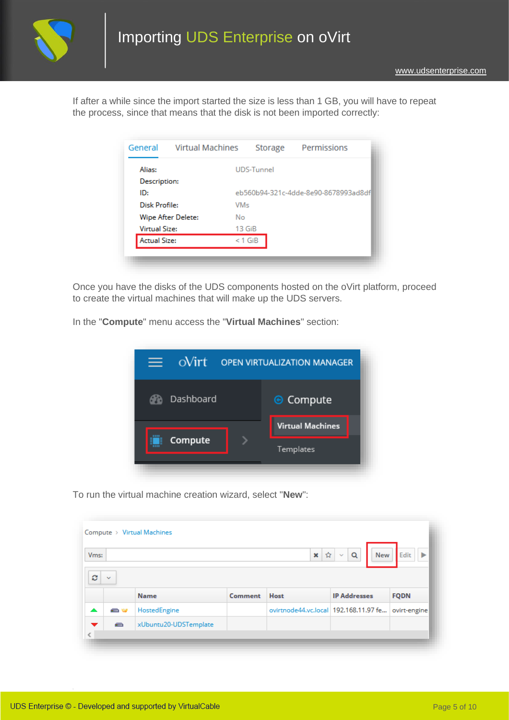

If after a while since the import started the size is less than 1 GB, you will have to repeat the process, since that means that the disk is not been imported correctly:

| General              | <b>Virtual Machines</b>  | Storage           | Permissions                          |
|----------------------|--------------------------|-------------------|--------------------------------------|
| Alias:               |                          | <b>UDS-Tunnel</b> |                                      |
| Description:         |                          |                   |                                      |
| ID:                  |                          |                   | eb560b94-321c-4dde-8e90-8678993ad8df |
| <b>Disk Profile:</b> |                          | VM<               |                                      |
|                      | Wipe After Delete:<br>No |                   |                                      |
| <b>Virtual Size:</b> |                          | 13 <sub>GiB</sub> |                                      |
| <b>Actual Size:</b>  |                          | $<$ 1 GiB         |                                      |

Once you have the disks of the UDS components hosted on the oVirt platform, proceed to create the virtual machines that will make up the UDS servers.

In the "**Compute**" menu access the "**Virtual Machines**" section:

|             | $\frac{1}{\text{O}}$ | <b>OPEN VIRTUALIZATION MANAGER</b> |
|-------------|----------------------|------------------------------------|
|             | Dashboard            | <b>⊙</b> Compute                   |
| <b>SEEE</b> |                      | <b>Virtual Machines</b>            |
|             | Compute              | Templates                          |
|             |                      |                                    |

To run the virtual machine creation wizard, select "**New**":

| V <sub>ms</sub> : |              |              |         | ☆<br>$\boldsymbol{\mathsf{x}}$          | Q<br>New<br>$\mathbf{v}$ | Edit         |
|-------------------|--------------|--------------|---------|-----------------------------------------|--------------------------|--------------|
| c                 | $\sim$       |              |         |                                         |                          |              |
|                   |              | <b>Name</b>  | Comment | Host                                    | <b>IP Addresses</b>      | <b>FQDN</b>  |
|                   | <b>Septe</b> | HostedEngine |         | ovirtnode44.vc.local   192.168.11.97 fe |                          | ovirt-engine |
|                   |              |              |         |                                         |                          |              |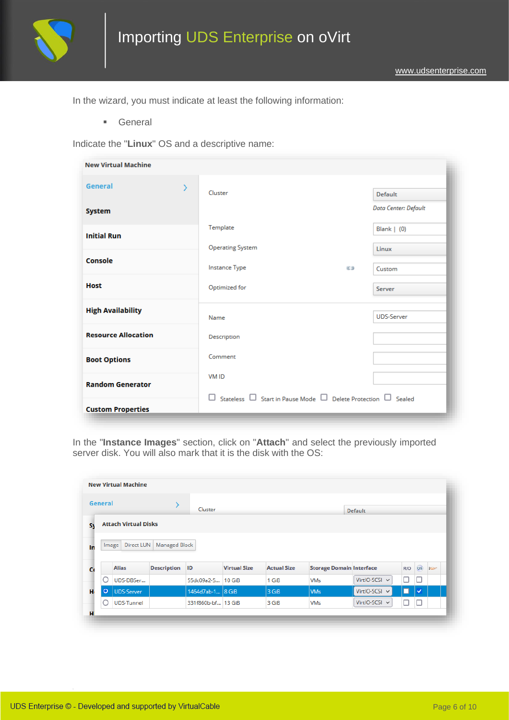

In the wizard, you must indicate at least the following information:

▪ General

Indicate the "**Linux**" OS and a descriptive name:

| <b>New Virtual Machine</b> |   |                                                                                    |     |                      |
|----------------------------|---|------------------------------------------------------------------------------------|-----|----------------------|
| General                    | ⋋ | Cluster                                                                            |     | <b>Default</b>       |
| <b>System</b>              |   |                                                                                    |     | Data Center: Default |
| <b>Initial Run</b>         |   | Template                                                                           |     | Blank $(0)$          |
| Console                    |   | <b>Operating System</b>                                                            |     | Linux                |
|                            |   | <b>Instance Type</b>                                                               | C.D | Custom               |
| <b>Host</b>                |   | Optimized for                                                                      |     | Server               |
| <b>High Availability</b>   |   | Name                                                                               |     | <b>UDS-Server</b>    |
| <b>Resource Allocation</b> |   | Description                                                                        |     |                      |
| <b>Boot Options</b>        |   | Comment                                                                            |     |                      |
| <b>Random Generator</b>    |   | <b>VMID</b>                                                                        |     |                      |
| <b>Custom Properties</b>   |   | $\Box$ Stateless $\Box$ Start in Pause Mode $\Box$ Delete Protection $\Box$ Sealed |     |                      |

In the "**Instance Images**" section, click on "**Attach**" and select the previously imported server disk. You will also mark that it is the disk with the OS:

| General |                             |                      | Cluster          |                     |                    |                                 | <b>Default</b> |     |              |             |
|---------|-----------------------------|----------------------|------------------|---------------------|--------------------|---------------------------------|----------------|-----|--------------|-------------|
|         | <b>Attach Virtual Disks</b> |                      |                  |                     |                    |                                 |                |     |              |             |
|         |                             |                      |                  |                     |                    |                                 |                |     |              |             |
|         | Direct LUN<br>Image         | <b>Managed Block</b> |                  |                     |                    |                                 |                |     |              |             |
|         | <b>Alias</b>                | <b>Description</b>   | ID               | <b>Virtual Size</b> | <b>Actual Size</b> | <b>Storage Domain Interface</b> |                | R/O | $\boxed{OS}$ | <b>Page</b> |
| О       | UDS-DBSer                   |                      | 55dc09a2-5       | 10 GiB              | 1 GiB              | <b>VM<sub>s</sub></b>           | VirtIO-SCSI v  | □   | □            |             |
| $\circ$ | <b>UDS-Server</b>           |                      | 1464d7ab-1 8 GiB |                     | 3 GiB              | <b>VMs</b>                      | VirtIO-SCSI v  | □   | ✓            |             |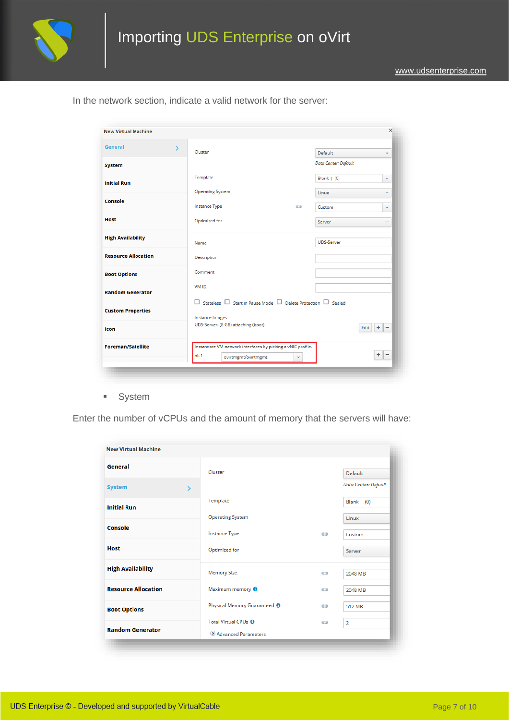

| General                    | Cluster                                                                            | <b>Default</b>              | $\checkmark$                  |
|----------------------------|------------------------------------------------------------------------------------|-----------------------------|-------------------------------|
| <b>System</b>              |                                                                                    | <b>Data Center: Default</b> |                               |
| <b>Initial Run</b>         | Template                                                                           | Blank $(0)$                 | $\checkmark$                  |
|                            | <b>Operating System</b>                                                            | Linux                       | v                             |
| Console                    | <b>Instance Type</b><br>63                                                         | Custom                      | $\checkmark$                  |
| <b>Host</b>                | Optimized for                                                                      | Server                      | $\checkmark$                  |
| <b>High Availability</b>   | Name                                                                               | <b>UDS-Server</b>           |                               |
| <b>Resource Allocation</b> | Description                                                                        |                             |                               |
| <b>Boot Options</b>        | Comment                                                                            |                             |                               |
| <b>Random Generator</b>    | <b>VMID</b>                                                                        |                             |                               |
| <b>Custom Properties</b>   | $\Box$ Stateless $\Box$ Start in Pause Mode $\Box$ Delete Protection $\Box$ Sealed |                             |                               |
|                            | <b>Instance Images</b>                                                             |                             |                               |
| Icon                       | UDS-Server: (8 GB) attaching (boot)                                                | Edit                        | ۰<br>$\overline{\phantom{a}}$ |
| <b>Foreman/Satellite</b>   | Instantiate VM network interfaces by picking a vNIC profile.                       |                             |                               |
|                            | nic1<br>ovirtmgmt/ovirtmgmt<br>v                                                   |                             | ÷<br>-                        |

In the network section, indicate a valid network for the server:

■ System

Enter the number of vCPUs and the amount of memory that the servers will have:

| <b>New Virtual Machine</b> |               |                                         |     |                      |
|----------------------------|---------------|-----------------------------------------|-----|----------------------|
| General                    |               | Cluster                                 |     | <b>Default</b>       |
| <b>System</b>              | $\mathcal{P}$ |                                         |     | Data Center: Default |
| <b>Initial Run</b>         |               | Template                                |     | Blank $(0)$          |
|                            |               | <b>Operating System</b>                 |     | Linux                |
| Console                    |               | Instance Type                           | E.D | Custom               |
| <b>Host</b>                |               | Optimized for                           |     | Server               |
| <b>High Availability</b>   |               | <b>Memory Size</b>                      |     |                      |
|                            |               |                                         | E.D | 2048 MB              |
| <b>Resource Allocation</b> |               | Maximum memory <sup>0</sup>             | C.D | 2048 MB              |
| <b>Boot Options</b>        |               | Physical Memory Guaranteed <sup>O</sup> | CD  | <b>512 MB</b>        |
|                            |               | Total Virtual CPUs <sup>6</sup>         | C.D | $\overline{2}$       |
| <b>Random Generator</b>    |               | Advanced Parameters                     |     |                      |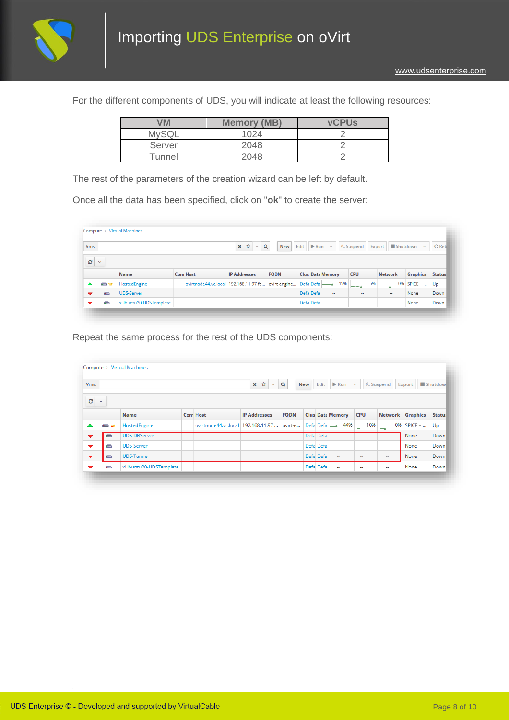

For the different components of UDS, you will indicate at least the following resources:

| VM           | <b>Memory (MB)</b> | <b>vCPUs</b> |
|--------------|--------------------|--------------|
| <b>MySQL</b> | 1024               |              |
| Server       | 2048               |              |
| Tunnel       | 2048               |              |

The rest of the parameters of the creation wizard can be left by default.

Once all the data has been specified, click on "**ok**" to create the server:

| Vms: |              |                       |                                                        | $\alpha$<br>✿<br>×<br>$\mathcal{L}$ | <b>New</b>  | Edit $\triangleright$ Run |           | $\sim$                  | <b>&amp; Suspend</b> | Export         | $\blacksquare$ Shutdown $\smile$ | C' Reb        |
|------|--------------|-----------------------|--------------------------------------------------------|-------------------------------------|-------------|---------------------------|-----------|-------------------------|----------------------|----------------|----------------------------------|---------------|
| c    | $\checkmark$ |                       |                                                        |                                     |             |                           |           |                         |                      |                |                                  |               |
|      |              | <b>Name</b>           | <b>Com Host</b>                                        | <b>IP Addresses</b>                 | <b>FQDN</b> |                           |           | <b>Clus Data Memory</b> | <b>CPU</b>           | <b>Network</b> | <b>Graphics</b>                  | <b>Status</b> |
| ▲    | e w          | HostedEngine          | ovirtnode44.vc.local   192.168.11.97 fe   ovirt-engine |                                     |             |                           |           | 45%<br>Defa Defa        | 5%<br>ーー             | 0%             | $SPICE + $                       | Up            |
| ▼    | $\equiv$     | <b>UDS-Server</b>     |                                                        |                                     |             |                           | Defa Defa | $\sim$                  | $\sim$               | $\sim$         | None                             | Down          |
| ▼    | -            | xUbuntu20-UDSTemplate |                                                        |                                     |             |                           | Defa Defa | $\sim$                  | $\sim$               | $\sim$         | None                             | Down          |

Repeat the same process for the rest of the UDS components:

| V <sub>ms</sub> : |              |                       | $\pmb{\times}$<br>☆<br>$\mathbf{v}$ | $\alpha$            | <b>New</b>  |  | Edit $\triangleright$ Run $\triangleright$ |                          | <b>↓ Suspend</b> | Shutdow<br>Export        |            |               |
|-------------------|--------------|-----------------------|-------------------------------------|---------------------|-------------|--|--------------------------------------------|--------------------------|------------------|--------------------------|------------|---------------|
| ø                 | $\checkmark$ |                       |                                     |                     |             |  |                                            |                          |                  |                          |            |               |
|                   |              | <b>Name</b>           | <b>Com Host</b>                     | <b>IP Addresses</b> | <b>FQDN</b> |  |                                            | <b>Clus Data Memory</b>  | <b>CPU</b>       | <b>Network Graphics</b>  |            | <b>Status</b> |
| ▲                 | <b>STAR</b>  | HostedEngine          | ovirtnode44.vc.local 192.168.11.97  |                     | ovirt-e     |  |                                            | 44%<br>Defa Defa -       | 10%<br>×.        | 0%<br>-                  | $SPICE + $ | Up            |
| ▼                 | $\equiv$     | <b>UDS-DBServer</b>   |                                     |                     |             |  | Defa Defa                                  | $\overline{\phantom{a}}$ | $\sim$           | $\sim$                   | None       | Down          |
| ▼                 | $\equiv$     | <b>UDS-Server</b>     |                                     |                     |             |  | Defa Defa                                  | $\sim$                   | $\sim$           | $\sim$                   | None       | Down          |
| ▼                 | $\equiv$     | <b>UDS-Tunnel</b>     |                                     |                     |             |  | Defa Defa                                  | $\sim$                   | $\sim$           | $\sim$                   | None       | Down          |
| ▼                 | ≘            | xUbuntu20-UDSTemplate |                                     |                     |             |  | Defa Defa                                  | $\sim$                   | $\sim$           | $\overline{\phantom{a}}$ | None       | Down          |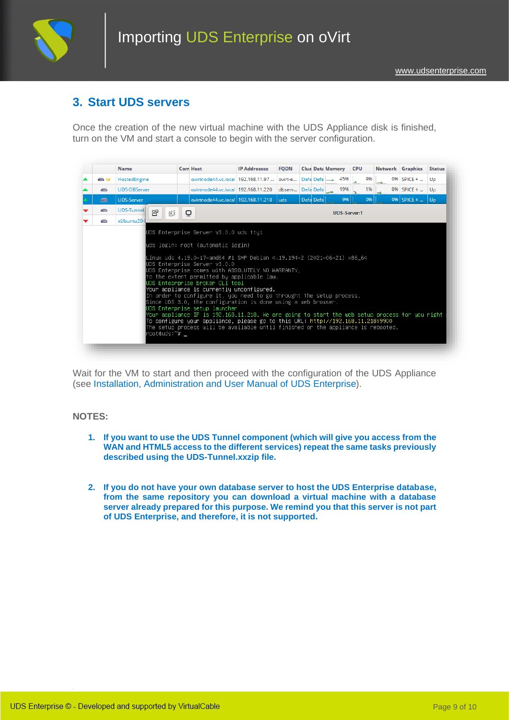

### **3. Start UDS servers**

Once the creation of the new virtual machine with the UDS Appliance disk is finished, turn on the VM and start a console to begin with the server configuration.



Wait for the VM to start and then proceed with the configuration of the UDS Appliance (see [Installation, Administration and User Manual of](https://www.udsenterprise.com/en/uds-enterprise/documentation/) [UDS Enterprise\)](https://www.udsenterprise.com/es/acerca-de-uds/documentacion/).

#### **NOTES:**

- **1. If you want to use the UDS Tunnel component (which will give you access from the WAN and HTML5 access to the different services) repeat the same tasks previously described using the UDS-Tunnel.xxzip file.**
- **2. If you do not have your own database server to host the UDS Enterprise database, from the same repository you can download a virtual machine with a database server already prepared for this purpose. We remind you that this server is not part of UDS Enterprise, and therefore, it is not supported.**